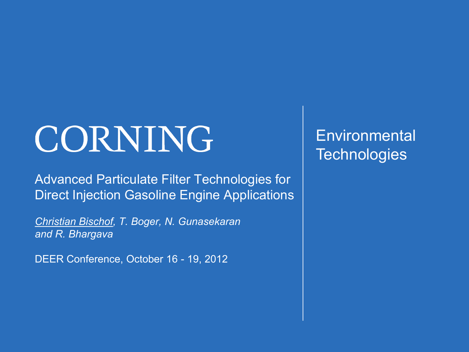# CORNING

Advanced Particulate Filter Technologies for Direct Injection Gasoline Engine Applications

*Christian Bischof, T. Boger, N. Gunasekaran and R. Bhargava*

DEER Conference, October 16 - 19, 2012

**Environmental Technologies**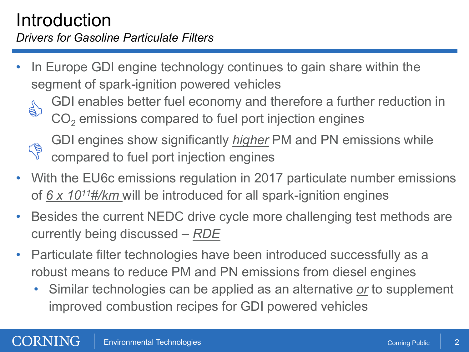## Introduction *Drivers for Gasoline Particulate Filters*

- In Europe GDI engine technology continues to gain share within the segment of spark-ignition powered vehicles
	- **SA**
- GDI enables better fuel economy and therefore a further reduction in CO<sub>2</sub> emissions compared to fuel port injection engines



– GDI engines show significantly *higher* PM and PN emissions while compared to fuel port injection engines

- With the EU6c emissions regulation in 2017 particulate number emissions of *6 x 1011#/km* will be introduced for all spark-ignition engines
- Besides the current NEDC drive cycle more challenging test methods are currently being discussed – *RDE*
- Particulate filter technologies have been introduced successfully as a robust means to reduce PM and PN emissions from diesel engines
	- Similar technologies can be applied as an alternative *or* to supplement improved combustion recipes for GDI powered vehicles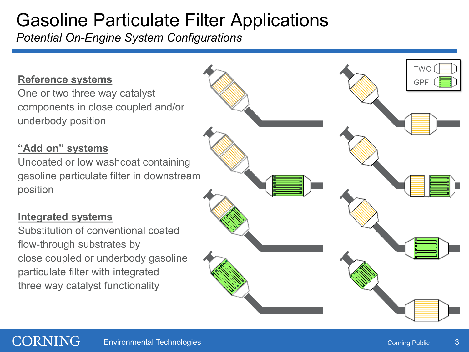## Gasoline Particulate Filter Applications

*Potential On-Engine System Configurations*

#### **Reference systems**

One or two three way catalyst components in close coupled and/or underbody position

#### **"Add on" systems**

Uncoated or low washcoat containing gasoline particulate filter in downstream position

#### **Integrated systems**

Substitution of conventional coated flow-through substrates by close coupled or underbody gasoline particulate filter with integrated three way catalyst functionality

**TWC** 

**GPF**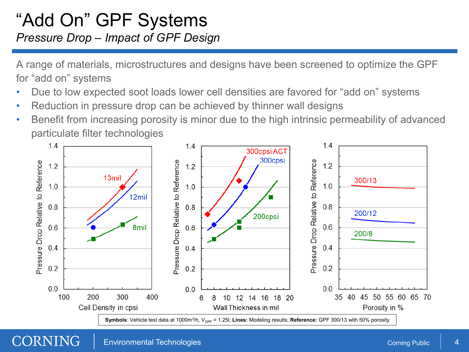## "Add On" GPF Systems *Pressure Drop – Impact of GPF Design*

A range of materials, microstructures and designs have been screened to optimize the GPF for "add on" systems

- Due to low expected soot loads lower cell densities are favored for "add on" systems
- Reduction in pressure drop can be achieved by thinner wall designs
- Benefit from increasing porosity is minor due to the high intrinsic permeability of advanced particulate filter technologies

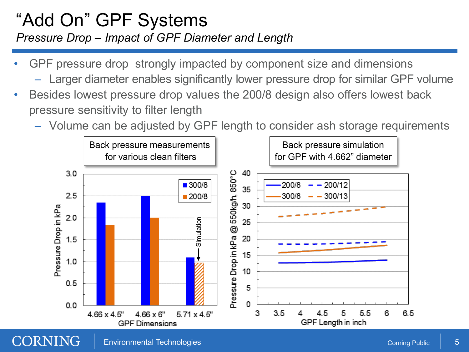## "Add On" GPF Systems *Pressure Drop – Impact of GPF Diameter and Length*

- GPF pressure drop strongly impacted by component size and dimensions
	- Larger diameter enables significantly lower pressure drop for similar GPF volume
- Besides lowest pressure drop values the 200/8 design also offers lowest back pressure sensitivity to filter length
	- Volume can be adjusted by GPF length to consider ash storage requirements



#### CORNING Environmental Technologies Corning Public 5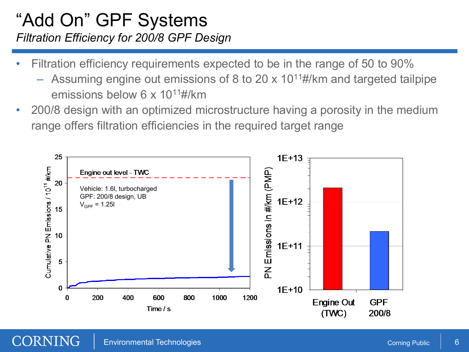### "Add On" GPF Systems *Filtration Efficiency for 200/8 GPF Design*

- Filtration efficiency requirements expected to be in the range of 50 to 90%
	- Assuming engine out emissions of 8 to 20 x  $10^{11}$ #/km and targeted tailpipe emissions below 6 x 10<sup>11</sup>#/km
- 200/8 design with an optimized microstructure having a porosity in the medium range offers filtration efficiencies in the required target range

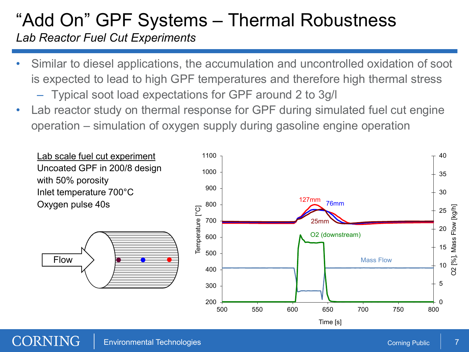## "Add On" GPF Systems – Thermal Robustness

*Lab Reactor Fuel Cut Experiments*

- Similar to diesel applications, the accumulation and uncontrolled oxidation of soot is expected to lead to high GPF temperatures and therefore high thermal stress
	- Typical soot load expectations for GPF around 2 to 3g/l
- Lab reactor study on thermal response for GPF during simulated fuel cut engine operation – simulation of oxygen supply during gasoline engine operation

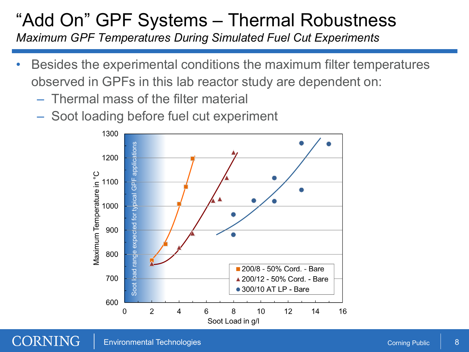## "Add On" GPF Systems – Thermal Robustness

*Maximum GPF Temperatures During Simulated Fuel Cut Experiments*

- Besides the experimental conditions the maximum filter temperatures observed in GPFs in this lab reactor study are dependent on:
	- Thermal mass of the filter material
	- Soot loading before fuel cut experiment

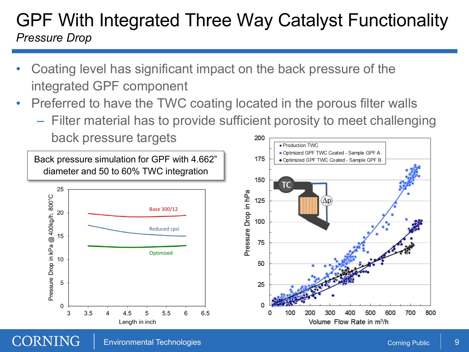## GPF With Integrated Three Way Catalyst Functionality *Pressure Drop*

- Coating level has significant impact on the back pressure of the integrated GPF component
- Preferred to have the TWC coating located in the porous filter walls
	- Filter material has to provide sufficient porosity to meet challenging back pressure targets 200

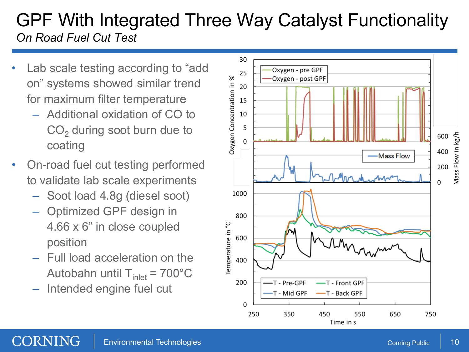## GPF With Integrated Three Way Catalyst Functionality *On Road Fuel Cut Test*

- Lab scale testing according to "add" on" systems showed similar trend for maximum filter temperature
	- Additional oxidation of CO to  $CO<sub>2</sub>$  during soot burn due to coating
- On-road fuel cut testing performed to validate lab scale experiments
	- Soot load 4.8g (diesel soot)
	- Optimized GPF design in 4.66 x 6" in close coupled position
	- Full load acceleration on the Autobahn until  $T_{\text{inlet}} = 700^{\circ}$ C
	- Intended engine fuel cut

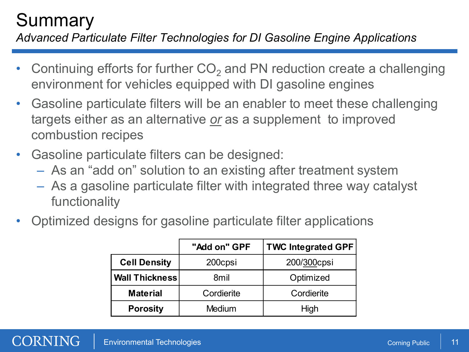## **Summary**

*Advanced Particulate Filter Technologies for DI Gasoline Engine Applications*

- Continuing efforts for further  $CO<sub>2</sub>$  and PN reduction create a challenging environment for vehicles equipped with DI gasoline engines
- Gasoline particulate filters will be an enabler to meet these challenging targets either as an alternative *or* as a supplement to improved combustion recipes
- Gasoline particulate filters can be designed:
	- As an "add on" solution to an existing after treatment system
	- As a gasoline particulate filter with integrated three way catalyst functionality
- Optimized designs for gasoline particulate filter applications

|                       | "Add on" GPF  | <b>TWC Integrated GPF</b> |
|-----------------------|---------------|---------------------------|
| <b>Cell Density</b>   | 200cpsi       | 200/300cpsi               |
| <b>Wall Thickness</b> | 8mil          | Optimized                 |
| <b>Material</b>       | Cordierite    | Cordierite                |
| <b>Porosity</b>       | <b>Medium</b> | High                      |